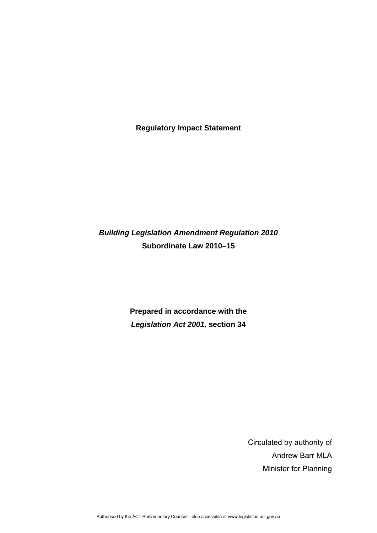**Regulatory Impact Statement** 

# *Building Legislation Amendment Regulation 2010*  **Subordinate Law 2010–15**

**Prepared in accordance with the**  *Legislation Act 2001,* **section 34** 

> Circulated by authority of Andrew Barr MLA Minister for Planning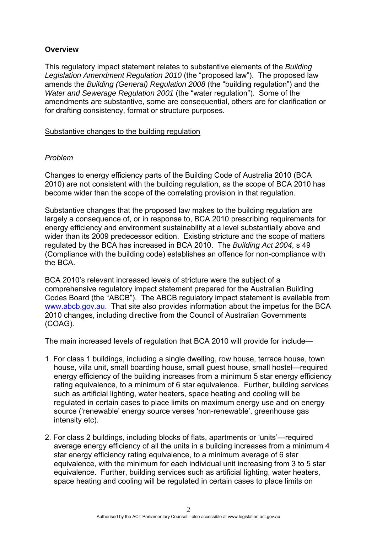# **Overview**

This regulatory impact statement relates to substantive elements of the *Building Legislation Amendment Regulation 2010* (the "proposed law"). The proposed law amends the *Building (General) Regulation 2008* (the "building regulation") and the *Water and Sewerage Regulation 2001* (the "water regulation"). Some of the amendments are substantive, some are consequential, others are for clarification or for drafting consistency, format or structure purposes.

Substantive changes to the building regulation

# *Problem*

Changes to energy efficiency parts of the Building Code of Australia 2010 (BCA 2010) are not consistent with the building regulation, as the scope of BCA 2010 has become wider than the scope of the correlating provision in that regulation.

Substantive changes that the proposed law makes to the building regulation are largely a consequence of, or in response to, BCA 2010 prescribing requirements for energy efficiency and environment sustainability at a level substantially above and wider than its 2009 predecessor edition. Existing stricture and the scope of matters regulated by the BCA has increased in BCA 2010. The *Building Act 2004*, s 49 (Compliance with the building code) establishes an offence for non-compliance with the BCA.

BCA 2010's relevant increased levels of stricture were the subject of a comprehensive regulatory impact statement prepared for the Australian Building Codes Board (the "ABCB"). The ABCB regulatory impact statement is available from [www.abcb.gov.au.](http://www.abcb.gov.au/) That site also provides information about the impetus for the BCA 2010 changes, including directive from the Council of Australian Governments (COAG).

The main increased levels of regulation that BCA 2010 will provide for include—

- 1. For class 1 buildings, including a single dwelling, row house, terrace house, town house, villa unit, small boarding house, small guest house, small hostel—required energy efficiency of the building increases from a minimum 5 star energy efficiency rating equivalence, to a minimum of 6 star equivalence. Further, building services such as artificial lighting, water heaters, space heating and cooling will be regulated in certain cases to place limits on maximum energy use and on energy source ('renewable' energy source verses 'non-renewable', greenhouse gas intensity etc).
- 2. For class 2 buildings, including blocks of flats, apartments or 'units'—required average energy efficiency of all the units in a building increases from a minimum 4 star energy efficiency rating equivalence, to a minimum average of 6 star equivalence, with the minimum for each individual unit increasing from 3 to 5 star equivalence. Further, building services such as artificial lighting, water heaters, space heating and cooling will be regulated in certain cases to place limits on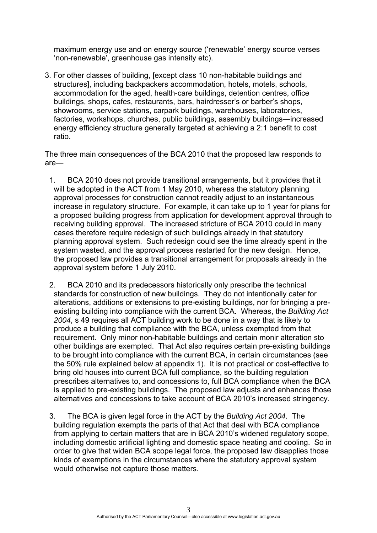maximum energy use and on energy source ('renewable' energy source verses 'non-renewable', greenhouse gas intensity etc).

3. For other classes of building, [except class 10 non-habitable buildings and structures], including backpackers accommodation, hotels, motels, schools, accommodation for the aged, health-care buildings, detention centres, office buildings, shops, cafes, restaurants, bars, hairdresser's or barber's shops, showrooms, service stations, carpark buildings, warehouses, laboratories, factories, workshops, churches, public buildings, assembly buildings—increased energy efficiency structure generally targeted at achieving a 2:1 benefit to cost ratio.

The three main consequences of the BCA 2010 that the proposed law responds to are—

- 1. BCA 2010 does not provide transitional arrangements, but it provides that it will be adopted in the ACT from 1 May 2010, whereas the statutory planning approval processes for construction cannot readily adjust to an instantaneous increase in regulatory structure. For example, it can take up to 1 year for plans for a proposed building progress from application for development approval through to receiving building approval. The increased stricture of BCA 2010 could in many cases therefore require redesign of such buildings already in that statutory planning approval system. Such redesign could see the time already spent in the system wasted, and the approval process restarted for the new design. Hence, the proposed law provides a transitional arrangement for proposals already in the approval system before 1 July 2010.
- 2. BCA 2010 and its predecessors historically only prescribe the technical standards for construction of new buildings. They do not intentionally cater for alterations, additions or extensions to pre-existing buildings, nor for bringing a preexisting building into compliance with the current BCA. Whereas, the *Building Act 2004*, s 49 requires all ACT building work to be done in a way that is likely to produce a building that compliance with the BCA, unless exempted from that requirement. Only minor non-habitable buildings and certain monir alteration sto other buildings are exempted. That Act also requires certain pre-existing buildings to be brought into compliance with the current BCA, in certain circumstances (see the 50% rule explained below at appendix 1). It is not practical or cost-effective to bring old houses into current BCA full compliance, so the building regulation prescribes alternatives to, and concessions to, full BCA compliance when the BCA is applied to pre-existing buildings. The proposed law adjusts and enhances those alternatives and concessions to take account of BCA 2010's increased stringency.
- 3. The BCA is given legal force in the ACT by the *Building Act 2004*. The building regulation exempts the parts of that Act that deal with BCA compliance from applying to certain matters that are in BCA 2010's widened regulatory scope, including domestic artificial lighting and domestic space heating and cooling. So in order to give that widen BCA scope legal force, the proposed law disapplies those kinds of exemptions in the circumstances where the statutory approval system would otherwise not capture those matters.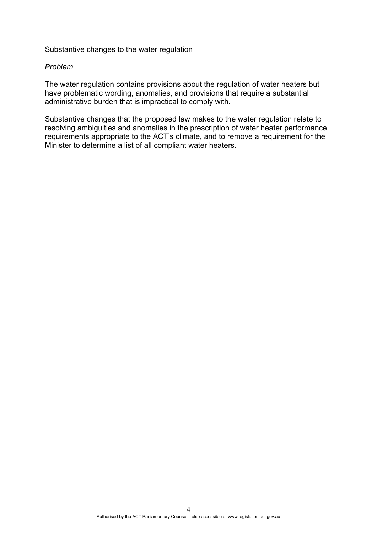# Substantive changes to the water regulation

#### *Problem*

The water regulation contains provisions about the regulation of water heaters but have problematic wording, anomalies, and provisions that require a substantial administrative burden that is impractical to comply with.

Substantive changes that the proposed law makes to the water regulation relate to resolving ambiguities and anomalies in the prescription of water heater performance requirements appropriate to the ACT's climate, and to remove a requirement for the Minister to determine a list of all compliant water heaters.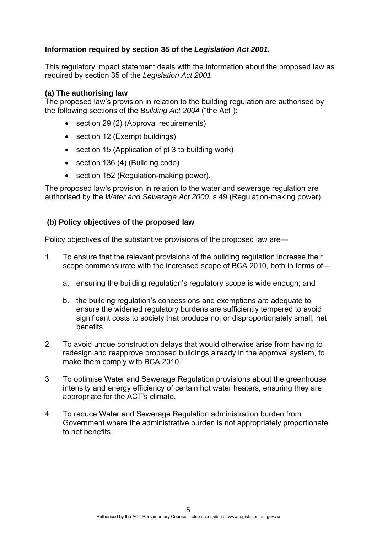# **Information required by section 35 of the** *Legislation Act 2001.*

This regulatory impact statement deals with the information about the proposed law as required by section 35 of the *Legislation Act 2001* 

# **(a) The authorising law**

The proposed law's provision in relation to the building regulation are authorised by the following sections of the *Building Act 2004* ("the Act"):

- section 29 (2) (Approval requirements)
- section 12 (Exempt buildings)
- section 15 (Application of pt 3 to building work)
- section 136 (4) (Building code)
- section 152 (Regulation-making power).

The proposed law's provision in relation to the water and sewerage regulation are authorised by the *Water and Sewerage Act 2000*, s 49 (Regulation-making power).

# **(b) Policy objectives of the proposed law**

Policy objectives of the substantive provisions of the proposed law are—

- 1. To ensure that the relevant provisions of the building regulation increase their scope commensurate with the increased scope of BCA 2010, both in terms of
	- a. ensuring the building regulation's regulatory scope is wide enough; and
	- b. the building regulation's concessions and exemptions are adequate to ensure the widened regulatory burdens are sufficiently tempered to avoid significant costs to society that produce no, or disproportionately small, net benefits.
- 2. To avoid undue construction delays that would otherwise arise from having to redesign and reapprove proposed buildings already in the approval system, to make them comply with BCA 2010.
- 3. To optimise Water and Sewerage Regulation provisions about the greenhouse intensity and energy efficiency of certain hot water heaters, ensuring they are appropriate for the ACT's climate.
- 4. To reduce Water and Sewerage Regulation administration burden from Government where the administrative burden is not appropriately proportionate to net benefits.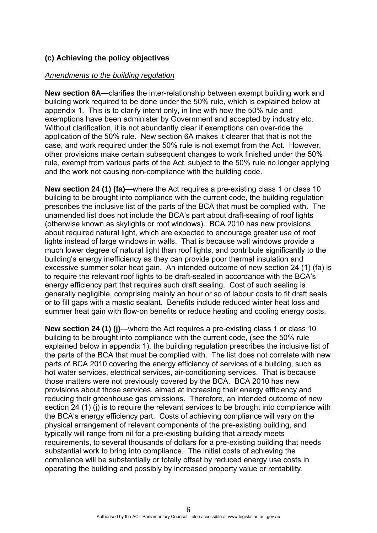# **(c) Achieving the policy objectives**

### *Amendments to the building regulation*

**New section 6A—**clarifies the inter-relationship between exempt building work and building work required to be done under the 50% rule, which is explained below at appendix 1. This is to clarify intent only, in line with how the 50% rule and exemptions have been administer by Government and accepted by industry etc. Without clarification, it is not abundantly clear if exemptions can over-ride the application of the 50% rule. New section 6A makes it clearer that that is not the case, and work required under the 50% rule is not exempt from the Act. However, other provisions make certain subsequent changes to work finished under the 50% rule, exempt from various parts of the Act, subject to the 50% rule no longer applying and the work not causing non-compliance with the building code.

**New section 24 (1) (fa)—where the Act requires a pre-existing class 1 or class 10** building to be brought into compliance with the current code, the building regulation prescribes the inclusive list of the parts of the BCA that must be complied with. The unamended list does not include the BCA's part about draft-sealing of roof lights (otherwise known as skylights or roof windows). BCA 2010 has new provisions about required natural light, which are expected to encourage greater use of roof lights instead of large windows in walls. That is because wall windows provide a much lower degree of natural light than roof lights, and contribute significantly to the building's energy inefficiency as they can provide poor thermal insulation and excessive summer solar heat gain. An intended outcome of new section 24 (1) (fa) is to require the relevant roof lights to be draft-sealed in accordance with the BCA's energy efficiency part that requires such draft sealing. Cost of such sealing is generally negligible, comprising mainly an hour or so of labour costs to fit draft seals or to fill gaps with a mastic sealant. Benefits include reduced winter heat loss and summer heat gain with flow-on benefits or reduce heating and cooling energy costs.

**New section 24 (1) (j)—where the Act requires a pre-existing class 1 or class 10** building to be brought into compliance with the current code, (see the 50% rule explained below in appendix 1), the building regulation prescribes the inclusive list of the parts of the BCA that must be complied with. The list does not correlate with new parts of BCA 2010 covering the energy efficiency of services of a building, such as hot water services, electrical services, air-conditioning services. That is because those matters were not previously covered by the BCA. BCA 2010 has new provisions about those services, aimed at increasing their energy efficiency and reducing their greenhouse gas emissions. Therefore, an intended outcome of new section 24 (1) (i) is to require the relevant services to be brought into compliance with the BCA's energy efficiency part. Costs of achieving compliance will vary on the physical arrangement of relevant components of the pre-existing building, and typically will range from nil for a pre-existing building that already meets requirements, to several thousands of dollars for a pre-existing building that needs substantial work to bring into compliance. The initial costs of achieving the compliance will be substantially or totally offset by reduced energy use costs in operating the building and possibly by increased property value or rentability.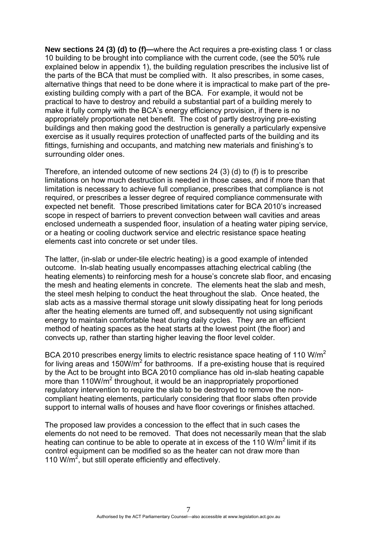**New sections 24 (3) (d) to (f)—**where the Act requires a pre-existing class 1 or class 10 building to be brought into compliance with the current code, (see the 50% rule explained below in appendix 1), the building regulation prescribes the inclusive list of the parts of the BCA that must be complied with. It also prescribes, in some cases, alternative things that need to be done where it is impractical to make part of the preexisting building comply with a part of the BCA. For example, it would not be practical to have to destroy and rebuild a substantial part of a building merely to make it fully comply with the BCA's energy efficiency provision, if there is no appropriately proportionate net benefit. The cost of partly destroying pre-existing buildings and then making good the destruction is generally a particularly expensive exercise as it usually requires protection of unaffected parts of the building and its fittings, furnishing and occupants, and matching new materials and finishing's to surrounding older ones.

Therefore, an intended outcome of new sections 24 (3) (d) to (f) is to prescribe limitations on how much destruction is needed in those cases, and if more than that limitation is necessary to achieve full compliance, prescribes that compliance is not required, or prescribes a lesser degree of required compliance commensurate with expected net benefit. Those prescribed limitations cater for BCA 2010's increased scope in respect of barriers to prevent convection between wall cavities and areas enclosed underneath a suspended floor, insulation of a heating water piping service, or a heating or cooling ductwork service and electric resistance space heating elements cast into concrete or set under tiles.

The latter, (in-slab or under-tile electric heating) is a good example of intended outcome. In-slab heating usually encompasses attaching electrical cabling (the heating elements) to reinforcing mesh for a house's concrete slab floor, and encasing the mesh and heating elements in concrete. The elements heat the slab and mesh, the steel mesh helping to conduct the heat throughout the slab. Once heated, the slab acts as a massive thermal storage unit slowly dissipating heat for long periods after the heating elements are turned off, and subsequently not using significant energy to maintain comfortable heat during daily cycles. They are an efficient method of heating spaces as the heat starts at the lowest point (the floor) and convects up, rather than starting higher leaving the floor level colder.

BCA 2010 prescribes energy limits to electric resistance space heating of 110 W/m<sup>2</sup> for living areas and 150W/ $m^2$  for bathrooms. If a pre-existing house that is required by the Act to be brought into BCA 2010 compliance has old in-slab heating capable more than 110W/m<sup>2</sup> throughout, it would be an inappropriately proportioned regulatory intervention to require the slab to be destroyed to remove the noncompliant heating elements, particularly considering that floor slabs often provide support to internal walls of houses and have floor coverings or finishes attached.

The proposed law provides a concession to the effect that in such cases the elements do not need to be removed. That does not necessarily mean that the slab heating can continue to be able to operate at in excess of the 110  $W/m^2$  limit if its control equipment can be modified so as the heater can not draw more than 110  $W/m^2$ , but still operate efficiently and effectively.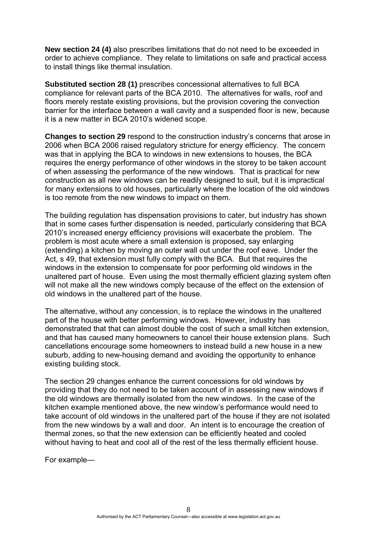**New section 24 (4)** also prescribes limitations that do not need to be exceeded in order to achieve compliance. They relate to limitations on safe and practical access to install things like thermal insulation.

**Substituted section 28 (1)** prescribes concessional alternatives to full BCA compliance for relevant parts of the BCA 2010. The alternatives for walls, roof and floors merely restate existing provisions, but the provision covering the convection barrier for the interface between a wall cavity and a suspended floor is new, because it is a new matter in BCA 2010's widened scope.

**Changes to section 29** respond to the construction industry's concerns that arose in 2006 when BCA 2006 raised regulatory stricture for energy efficiency. The concern was that in applying the BCA to windows in new extensions to houses, the BCA requires the energy performance of other windows in the storey to be taken account of when assessing the performance of the new windows. That is practical for new construction as all new windows can be readily designed to suit, but it is impractical for many extensions to old houses, particularly where the location of the old windows is too remote from the new windows to impact on them.

The building regulation has dispensation provisions to cater, but industry has shown that in some cases further dispensation is needed, particularly considering that BCA 2010's increased energy efficiency provisions will exacerbate the problem. The problem is most acute where a small extension is proposed, say enlarging (extending) a kitchen by moving an outer wall out under the roof eave. Under the Act, s 49, that extension must fully comply with the BCA. But that requires the windows in the extension to compensate for poor performing old windows in the unaltered part of house. Even using the most thermally efficient glazing system often will not make all the new windows comply because of the effect on the extension of old windows in the unaltered part of the house.

The alternative, without any concession, is to replace the windows in the unaltered part of the house with better performing windows. However, industry has demonstrated that that can almost double the cost of such a small kitchen extension, and that has caused many homeowners to cancel their house extension plans. Such cancellations encourage some homeowners to instead build a new house in a new suburb, adding to new-housing demand and avoiding the opportunity to enhance existing building stock.

The section 29 changes enhance the current concessions for old windows by providing that they do not need to be taken account of in assessing new windows if the old windows are thermally isolated from the new windows. In the case of the kitchen example mentioned above, the new window's performance would need to take account of old windows in the unaltered part of the house if they are not isolated from the new windows by a wall and door. An intent is to encourage the creation of thermal zones, so that the new extension can be efficiently heated and cooled without having to heat and cool all of the rest of the less thermally efficient house.

For example—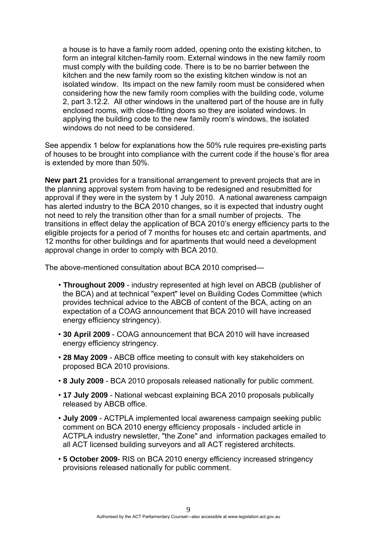a house is to have a family room added, opening onto the existing kitchen, to form an integral kitchen-family room. External windows in the new family room must comply with the building code. There is to be no barrier between the kitchen and the new family room so the existing kitchen window is not an isolated window. Its impact on the new family room must be considered when considering how the new family room complies with the building code, volume 2, part 3.12.2. All other windows in the unaltered part of the house are in fully enclosed rooms, with close-fitting doors so they are isolated windows. In applying the building code to the new family room's windows, the isolated windows do not need to be considered.

See appendix 1 below for explanations how the 50% rule requires pre-existing parts of houses to be brought into compliance with the current code if the house's flor area is extended by more than 50%.

**New part 21** provides for a transitional arrangement to prevent projects that are in the planning approval system from having to be redesigned and resubmitted for approval if they were in the system by 1 July 2010. A national awareness campaign has alerted industry to the BCA 2010 changes, so it is expected that industry ought not need to rely the transition other than for a small number of projects. The transitions in effect delay the application of BCA 2010's energy efficiency parts to the eligible projects for a period of 7 months for houses etc and certain apartments, and 12 months for other buildings and for apartments that would need a development approval change in order to comply with BCA 2010.

The above-mentioned consultation about BCA 2010 comprised—

- **Throughout 2009**  industry represented at high level on ABCB (publisher of the BCA) and at technical "expert" level on Building Codes Committee (which provides technical advice to the ABCB of content of the BCA, acting on an expectation of a COAG announcement that BCA 2010 will have increased energy efficiency stringency).
- **30 April 2009**  COAG announcement that BCA 2010 will have increased energy efficiency stringency.
- **28 May 2009**  ABCB office meeting to consult with key stakeholders on proposed BCA 2010 provisions.
- **8 July 2009**  BCA 2010 proposals released nationally for public comment.
- **17 July 2009**  National webcast explaining BCA 2010 proposals publically released by ABCB office.
- **July 2009**  ACTPLA implemented local awareness campaign seeking public comment on BCA 2010 energy efficiency proposals - included article in ACTPLA industry newsletter, "the Zone" and information packages emailed to all ACT licensed building surveyors and all ACT registered architects.
- **5 October 2009** RIS on BCA 2010 energy efficiency increased stringency provisions released nationally for public comment.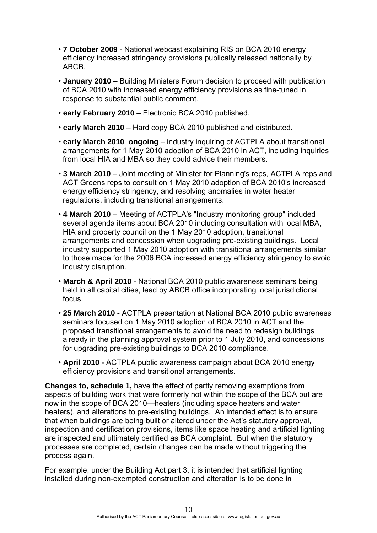- **7 October 2009**  National webcast explaining RIS on BCA 2010 energy efficiency increased stringency provisions publically released nationally by ABCB.
- **January 2010**  Building Ministers Forum decision to proceed with publication of BCA 2010 with increased energy efficiency provisions as fine-tuned in response to substantial public comment.
- **early February 2010**  Electronic BCA 2010 published.
- **early March 2010**  Hard copy BCA 2010 published and distributed.
- **early March 2010 ongoing**  industry inquiring of ACTPLA about transitional arrangements for 1 May 2010 adoption of BCA 2010 in ACT, including inquiries from local HIA and MBA so they could advice their members.
- **3 March 2010**  Joint meeting of Minister for Planning's reps, ACTPLA reps and ACT Greens reps to consult on 1 May 2010 adoption of BCA 2010's increased energy efficiency stringency, and resolving anomalies in water heater regulations, including transitional arrangements.
- **4 March 2010**  Meeting of ACTPLA's "Industry monitoring group" included several agenda items about BCA 2010 including consultation with local MBA, HIA and property council on the 1 May 2010 adoption, transitional arrangements and concession when upgrading pre-existing buildings. Local industry supported 1 May 2010 adoption with transitional arrangements similar to those made for the 2006 BCA increased energy efficiency stringency to avoid industry disruption.
- **March & April 2010**  National BCA 2010 public awareness seminars being held in all capital cities, lead by ABCB office incorporating local jurisdictional focus.
- **25 March 2010**  ACTPLA presentation at National BCA 2010 public awareness seminars focused on 1 May 2010 adoption of BCA 2010 in ACT and the proposed transitional arrangements to avoid the need to redesign buildings already in the planning approval system prior to 1 July 2010, and concessions for upgrading pre-existing buildings to BCA 2010 compliance.
- **April 2010**  ACTPLA public awareness campaign about BCA 2010 energy efficiency provisions and transitional arrangements.

**Changes to, schedule 1,** have the effect of partly removing exemptions from aspects of building work that were formerly not within the scope of the BCA but are now in the scope of BCA 2010—heaters (including space heaters and water heaters), and alterations to pre-existing buildings. An intended effect is to ensure that when buildings are being built or altered under the Act's statutory approval, inspection and certification provisions, items like space heating and artificial lighting are inspected and ultimately certified as BCA complaint. But when the statutory processes are completed, certain changes can be made without triggering the process again.

For example, under the Building Act part 3, it is intended that artificial lighting installed during non-exempted construction and alteration is to be done in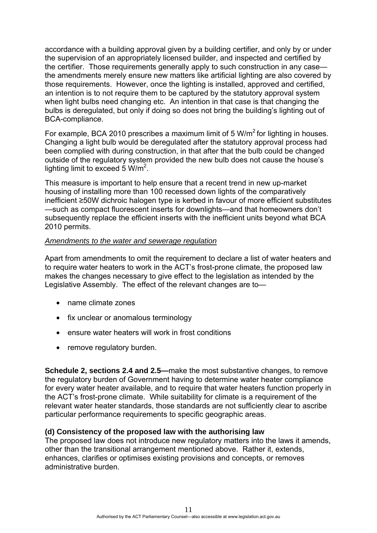accordance with a building approval given by a building certifier, and only by or under the supervision of an appropriately licensed builder, and inspected and certified by the certifier. Those requirements generally apply to such construction in any case the amendments merely ensure new matters like artificial lighting are also covered by those requirements. However, once the lighting is installed, approved and certified, an intention is to not require them to be captured by the statutory approval system when light bulbs need changing etc. An intention in that case is that changing the bulbs is deregulated, but only if doing so does not bring the building's lighting out of BCA-compliance.

For example, BCA 2010 prescribes a maximum limit of 5  $W/m<sup>2</sup>$  for lighting in houses. Changing a light bulb would be deregulated after the statutory approval process had been complied with during construction, in that after that the bulb could be changed outside of the regulatory system provided the new bulb does not cause the house's lighting limit to exceed 5  $W/m^2$ .

This measure is important to help ensure that a recent trend in new up-market housing of installing more than 100 recessed down lights of the comparatively inefficient ≥50W dichroic halogen type is kerbed in favour of more efficient substitutes —such as compact fluorescent inserts for downlights—and that homeowners don't subsequently replace the efficient inserts with the inefficient units beyond what BCA 2010 permits.

#### *Amendments to the water and sewerage regulation*

Apart from amendments to omit the requirement to declare a list of water heaters and to require water heaters to work in the ACT's frost-prone climate, the proposed law makes the changes necessary to give effect to the legislation as intended by the Legislative Assembly. The effect of the relevant changes are to—

- name climate zones
- fix unclear or anomalous terminology
- ensure water heaters will work in frost conditions
- remove regulatory burden.

**Schedule 2, sections 2.4 and 2.5—**make the most substantive changes, to remove the regulatory burden of Government having to determine water heater compliance for every water heater available, and to require that water heaters function properly in the ACT's frost-prone climate. While suitability for climate is a requirement of the relevant water heater standards, those standards are not sufficiently clear to ascribe particular performance requirements to specific geographic areas.

#### **(d) Consistency of the proposed law with the authorising law**

The proposed law does not introduce new regulatory matters into the laws it amends, other than the transitional arrangement mentioned above. Rather it, extends, enhances, clarifies or optimises existing provisions and concepts, or removes administrative burden.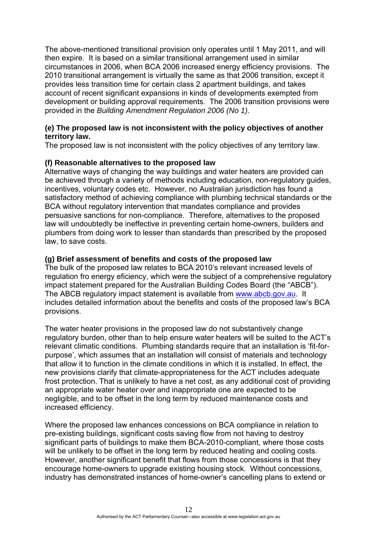The above-mentioned transitional provision only operates until 1 May 2011, and will then expire. It is based on a similar transitional arrangement used in similar circumstances in 2006, when BCA 2006 increased energy efficiency provisions. The 2010 transitional arrangement is virtually the same as that 2006 transition, except it provides less transition time for certain class 2 apartment buildings, and takes account of recent significant expansions in kinds of developments exempted from development or building approval requirements. The 2006 transition provisions were provided in the *Building Amendment Regulation 2006 (No 1)*.

# **(e) The proposed law is not inconsistent with the policy objectives of another territory law.**

The proposed law is not inconsistent with the policy objectives of any territory law.

# **(f) Reasonable alternatives to the proposed law**

Alternative ways of changing the way buildings and water heaters are provided can be achieved through a variety of methods including education, non-regulatory guides, incentives, voluntary codes etc. However, no Australian jurisdiction has found a satisfactory method of achieving compliance with plumbing technical standards or the BCA without regulatory intervention that mandates compliance and provides persuasive sanctions for non-compliance. Therefore, alternatives to the proposed law will undoubtedly be ineffective in preventing certain home-owners, builders and plumbers from doing work to lesser than standards than prescribed by the proposed law, to save costs.

# **(g) Brief assessment of benefits and costs of the proposed law**

The bulk of the proposed law relates to BCA 2010's relevant increased levels of regulation fro energy eficiency, which were the subject of a comprehensive regulatory impact statement prepared for the Australian Building Codes Board (the "ABCB"). The ABCB regulatory impact statement is available from [www.abcb.gov.au](http://www.abcb.gov.au/). It includes detailed information about the benefits and costs of the proposed law's BCA provisions.

The water heater provisions in the proposed law do not substantively change regulatory burden, other than to help ensure water heaters will be suited to the ACT's relevant climatic conditions. Plumbing standards require that an installation is 'fit-forpurpose', which assumes that an installation will consist of materials and technology that allow it to function in the climate conditions in which it is installed. In effect, the new provisions clarify that climate-appropriateness for the ACT includes adequate frost protection. That is unlikely to have a net cost, as any additional cost of providing an appropriate water heater over and inappropriate one are expected to be negligible, and to be offset in the long term by reduced maintenance costs and increased efficiency.

Where the proposed law enhances concessions on BCA compliance in relation to pre-existing buildings, significant costs saving flow from not having to destroy significant parts of buildings to make them BCA-2010-compliant, where those costs will be unlikely to be offset in the long term by reduced heating and cooling costs. However, another significant benefit that flows from those concessions is that they encourage home-owners to upgrade existing housing stock. Without concessions, industry has demonstrated instances of home-owner's cancelling plans to extend or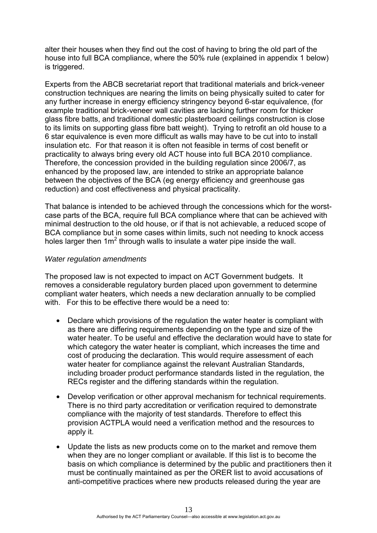alter their houses when they find out the cost of having to bring the old part of the house into full BCA compliance, where the 50% rule (explained in appendix 1 below) is triggered.

Experts from the ABCB secretariat report that traditional materials and brick-veneer construction techniques are nearing the limits on being physically suited to cater for any further increase in energy efficiency stringency beyond 6-star equivalence, (for example traditional brick-veneer wall cavities are lacking further room for thicker glass fibre batts, and traditional domestic plasterboard ceilings construction is close to its limits on supporting glass fibre batt weight). Trying to retrofit an old house to a 6 star equivalence is even more difficult as walls may have to be cut into to install insulation etc. For that reason it is often not feasible in terms of cost benefit or practicality to always bring every old ACT house into full BCA 2010 compliance. Therefore, the concession provided in the building regulation since 2006/7, as enhanced by the proposed law, are intended to strike an appropriate balance between the objectives of the BCA (eg energy efficiency and greenhouse gas reduction) and cost effectiveness and physical practicality.

That balance is intended to be achieved through the concessions which for the worstcase parts of the BCA, require full BCA compliance where that can be achieved with minimal destruction to the old house, or if that is not achievable, a reduced scope of BCA compliance but in some cases within limits, such not needing to knock access holes larger then  $1m^2$  through walls to insulate a water pipe inside the wall.

#### *Water regulation amendments*

The proposed law is not expected to impact on ACT Government budgets. It removes a considerable regulatory burden placed upon government to determine compliant water heaters, which needs a new declaration annually to be complied with. For this to be effective there would be a need to:

- Declare which provisions of the regulation the water heater is compliant with as there are differing requirements depending on the type and size of the water heater. To be useful and effective the declaration would have to state for which category the water heater is compliant, which increases the time and cost of producing the declaration. This would require assessment of each water heater for compliance against the relevant Australian Standards, including broader product performance standards listed in the regulation, the RECs register and the differing standards within the regulation.
- Develop verification or other approval mechanism for technical requirements. There is no third party accreditation or verification required to demonstrate compliance with the majority of test standards. Therefore to effect this provision ACTPLA would need a verification method and the resources to apply it.
- Update the lists as new products come on to the market and remove them when they are no longer compliant or available. If this list is to become the basis on which compliance is determined by the public and practitioners then it must be continually maintained as per the ORER list to avoid accusations of anti-competitive practices where new products released during the year are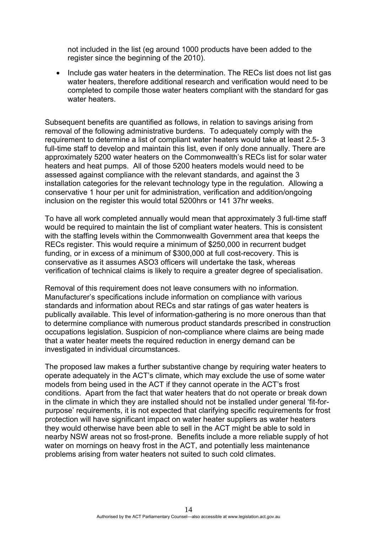not included in the list (eg around 1000 products have been added to the register since the beginning of the 2010).

• Include gas water heaters in the determination. The RECs list does not list gas water heaters, therefore additional research and verification would need to be completed to compile those water heaters compliant with the standard for gas water heaters.

Subsequent benefits are quantified as follows, in relation to savings arising from removal of the following administrative burdens. To adequately comply with the requirement to determine a list of compliant water heaters would take at least 2.5- 3 full-time staff to develop and maintain this list, even if only done annually. There are approximately 5200 water heaters on the Commonwealth's RECs list for solar water heaters and heat pumps. All of those 5200 heaters models would need to be assessed against compliance with the relevant standards, and against the 3 installation categories for the relevant technology type in the regulation. Allowing a conservative 1 hour per unit for administration, verification and addition/ongoing inclusion on the register this would total 5200hrs or 141 37hr weeks.

To have all work completed annually would mean that approximately 3 full-time staff would be required to maintain the list of compliant water heaters. This is consistent with the staffing levels within the Commonwealth Government area that keeps the RECs register. This would require a minimum of \$250,000 in recurrent budget funding, or in excess of a minimum of \$300,000 at full cost-recovery. This is conservative as it assumes ASO3 officers will undertake the task, whereas verification of technical claims is likely to require a greater degree of specialisation.

Removal of this requirement does not leave consumers with no information. Manufacturer's specifications include information on compliance with various standards and information about RECs and star ratings of gas water heaters is publically available. This level of information-gathering is no more onerous than that to determine compliance with numerous product standards prescribed in construction occupations legislation. Suspicion of non-compliance where claims are being made that a water heater meets the required reduction in energy demand can be investigated in individual circumstances.

The proposed law makes a further substantive change by requiring water heaters to operate adequately in the ACT's climate, which may exclude the use of some water models from being used in the ACT if they cannot operate in the ACT's frost conditions. Apart from the fact that water heaters that do not operate or break down in the climate in which they are installed should not be installed under general 'fit-forpurpose' requirements, it is not expected that clarifying specific requirements for frost protection will have significant impact on water heater suppliers as water heaters they would otherwise have been able to sell in the ACT might be able to sold in nearby NSW areas not so frost-prone. Benefits include a more reliable supply of hot water on mornings on heavy frost in the ACT, and potentially less maintenance problems arising from water heaters not suited to such cold climates.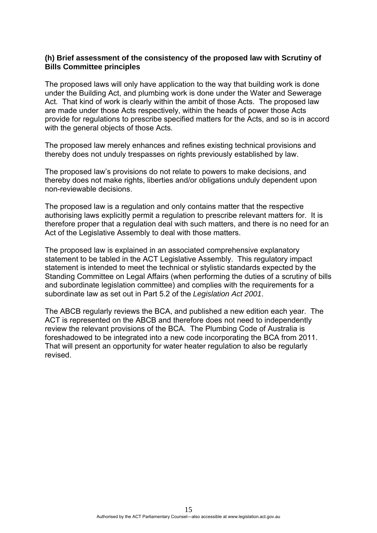#### **(h) Brief assessment of the consistency of the proposed law with Scrutiny of Bills Committee principles**

The proposed laws will only have application to the way that building work is done under the Building Act, and plumbing work is done under the Water and Sewerage Act. That kind of work is clearly within the ambit of those Acts. The proposed law are made under those Acts respectively, within the heads of power those Acts provide for regulations to prescribe specified matters for the Acts, and so is in accord with the general objects of those Acts.

The proposed law merely enhances and refines existing technical provisions and thereby does not unduly trespasses on rights previously established by law.

The proposed law's provisions do not relate to powers to make decisions, and thereby does not make rights, liberties and/or obligations unduly dependent upon non-reviewable decisions.

The proposed law is a regulation and only contains matter that the respective authorising laws explicitly permit a regulation to prescribe relevant matters for. It is therefore proper that a regulation deal with such matters, and there is no need for an Act of the Legislative Assembly to deal with those matters.

The proposed law is explained in an associated comprehensive explanatory statement to be tabled in the ACT Legislative Assembly. This regulatory impact statement is intended to meet the technical or stylistic standards expected by the Standing Committee on Legal Affairs (when performing the duties of a scrutiny of bills and subordinate legislation committee) and complies with the requirements for a subordinate law as set out in Part 5.2 of the *Legislation Act 2001*.

The ABCB regularly reviews the BCA, and published a new edition each year. The ACT is represented on the ABCB and therefore does not need to independently review the relevant provisions of the BCA. The Plumbing Code of Australia is foreshadowed to be integrated into a new code incorporating the BCA from 2011. That will present an opportunity for water heater regulation to also be regularly revised.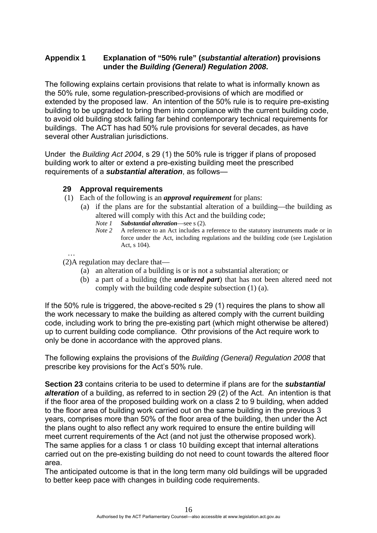# **Appendix 1 Explanation of "50% rule" (***substantial alteration***) provisions under the** *Building (General) Regulation 2008***.**

The following explains certain provisions that relate to what is informally known as the 50% rule, some regulation-prescribed-provisions of which are modified or extended by the proposed law. An intention of the 50% rule is to require pre-existing building to be upgraded to bring them into compliance with the current building code, to avoid old building stock falling far behind contemporary technical requirements for buildings. The ACT has had 50% rule provisions for several decades, as have several other Australian jurisdictions.

Under the *Building Act 2004*, s 29 (1) the 50% rule is trigger if plans of proposed building work to alter or extend a pre-existing building meet the prescribed requirements of a *substantial alteration*, as follows—

#### **29 Approval requirements**

- (1) Each of the following is an *approval requirement* for plans:
	- (a) if the plans are for the substantial alteration of a building—the building as altered will comply with this Act and the building code;
		- *Note 1 Substantial alteration—see s (2).*<br>*Note 2 A reference to an Act includes a i*
		- A reference to an Act includes a reference to the statutory instruments made or in force under the Act, including regulations and the building code (see Legislation Act, s 104).

…

- (2)A regulation may declare that—
	- (a) an alteration of a building is or is not a substantial alteration; or
	- (b) a part of a building (the *unaltered part*) that has not been altered need not comply with the building code despite subsection (1) (a).

If the 50% rule is triggered, the above-recited s 29 (1) requires the plans to show all the work necessary to make the building as altered comply with the current building code, including work to bring the pre-existing part (which might otherwise be altered) up to current building code compliance. Othr provisions of the Act require work to only be done in accordance with the approved plans.

The following explains the provisions of the *Building (General) Regulation 2008* that prescribe key provisions for the Act's 50% rule.

**Section 23** contains criteria to be used to determine if plans are for the *substantial alteration* of a building, as referred to in section 29 (2) of the Act. An intention is that if the floor area of the proposed building work on a class 2 to 9 building, when added to the floor area of building work carried out on the same building in the previous 3 years, comprises more than 50% of the floor area of the building, then under the Act the plans ought to also reflect any work required to ensure the entire building will meet current requirements of the Act (and not just the otherwise proposed work). The same applies for a class 1 or class 10 building except that internal alterations carried out on the pre-existing building do not need to count towards the altered floor area.

The anticipated outcome is that in the long term many old buildings will be upgraded to better keep pace with changes in building code requirements.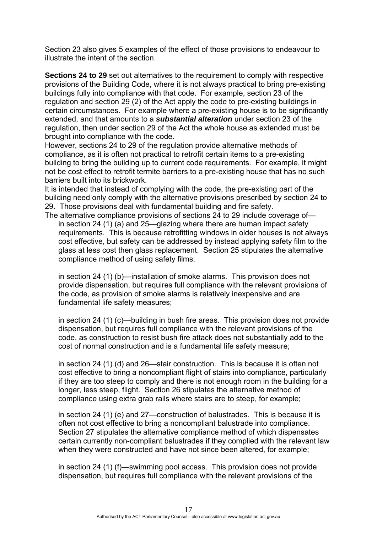Section 23 also gives 5 examples of the effect of those provisions to endeavour to illustrate the intent of the section.

**Sections 24 to 29** set out alternatives to the requirement to comply with respective provisions of the Building Code, where it is not always practical to bring pre-existing buildings fully into compliance with that code. For example, section 23 of the regulation and section 29 (2) of the Act apply the code to pre-existing buildings in certain circumstances. For example where a pre-existing house is to be significantly extended, and that amounts to a *substantial alteration* under section 23 of the regulation, then under section 29 of the Act the whole house as extended must be brought into compliance with the code.

However, sections 24 to 29 of the regulation provide alternative methods of compliance, as it is often not practical to retrofit certain items to a pre-existing building to bring the building up to current code requirements. For example, it might not be cost effect to retrofit termite barriers to a pre-existing house that has no such barriers built into its brickwork.

It is intended that instead of complying with the code, the pre-existing part of the building need only comply with the alternative provisions prescribed by section 24 to 29. Those provisions deal with fundamental building and fire safety.

The alternative compliance provisions of sections 24 to 29 include coverage of in section 24 (1) (a) and 25—glazing where there are human impact safety requirements. This is because retrofitting windows in older houses is not always cost effective, but safety can be addressed by instead applying safety film to the glass at less cost then glass replacement. Section 25 stipulates the alternative compliance method of using safety films;

in section 24 (1) (b)—installation of smoke alarms. This provision does not provide dispensation, but requires full compliance with the relevant provisions of the code, as provision of smoke alarms is relatively inexpensive and are fundamental life safety measures;

in section 24 (1) (c)—building in bush fire areas. This provision does not provide dispensation, but requires full compliance with the relevant provisions of the code, as construction to resist bush fire attack does not substantially add to the cost of normal construction and is a fundamental life safety measure;

in section 24 (1) (d) and 26—stair construction. This is because it is often not cost effective to bring a noncompliant flight of stairs into compliance, particularly if they are too steep to comply and there is not enough room in the building for a longer, less steep, flight. Section 26 stipulates the alternative method of compliance using extra grab rails where stairs are to steep, for example;

in section 24 (1) (e) and 27—construction of balustrades. This is because it is often not cost effective to bring a noncompliant balustrade into compliance. Section 27 stipulates the alternative compliance method of which dispensates certain currently non-compliant balustrades if they complied with the relevant law when they were constructed and have not since been altered, for example;

in section 24 (1) (f)—swimming pool access. This provision does not provide dispensation, but requires full compliance with the relevant provisions of the